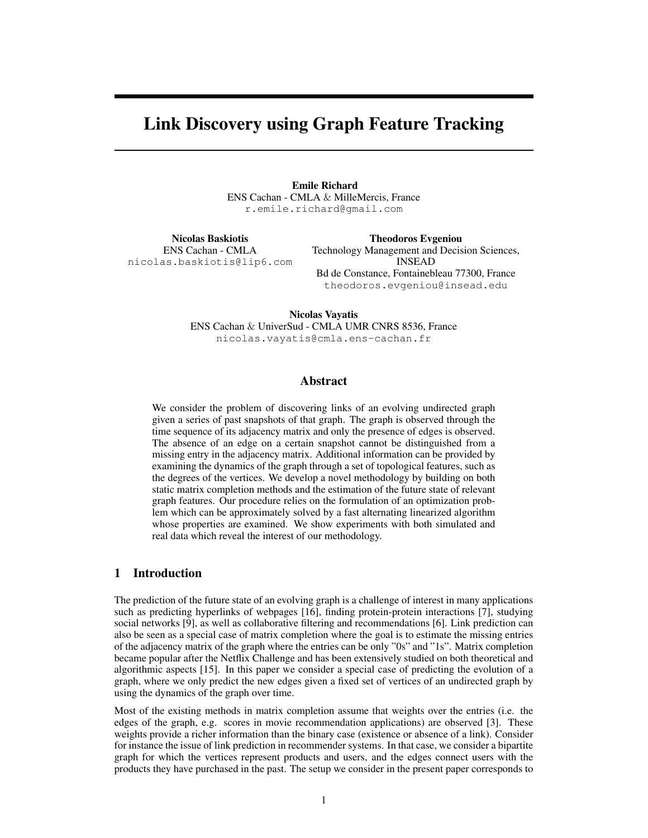# Link Discovery using Graph Feature Tracking

Emile Richard ENS Cachan - CMLA & MilleMercis, France r.emile.richard@gmail.com

Nicolas Baskiotis ENS Cachan - CMLA nicolas.baskiotis@lip6.com

Theodoros Evgeniou Technology Management and Decision Sciences, INSEAD Bd de Constance, Fontainebleau 77300, France theodoros.evgeniou@insead.edu

Nicolas Vayatis ENS Cachan & UniverSud - CMLA UMR CNRS 8536, France nicolas.vayatis@cmla.ens-cachan.fr

## Abstract

We consider the problem of discovering links of an evolving undirected graph given a series of past snapshots of that graph. The graph is observed through the time sequence of its adjacency matrix and only the presence of edges is observed. The absence of an edge on a certain snapshot cannot be distinguished from a missing entry in the adjacency matrix. Additional information can be provided by examining the dynamics of the graph through a set of topological features, such as the degrees of the vertices. We develop a novel methodology by building on both static matrix completion methods and the estimation of the future state of relevant graph features. Our procedure relies on the formulation of an optimization problem which can be approximately solved by a fast alternating linearized algorithm whose properties are examined. We show experiments with both simulated and real data which reveal the interest of our methodology.

## 1 Introduction

The prediction of the future state of an evolving graph is a challenge of interest in many applications such as predicting hyperlinks of webpages [16], finding protein-protein interactions [7], studying social networks [9], as well as collaborative filtering and recommendations [6]. Link prediction can also be seen as a special case of matrix completion where the goal is to estimate the missing entries of the adjacency matrix of the graph where the entries can be only "0s" and "1s". Matrix completion became popular after the Netflix Challenge and has been extensively studied on both theoretical and algorithmic aspects [15]. In this paper we consider a special case of predicting the evolution of a graph, where we only predict the new edges given a fixed set of vertices of an undirected graph by using the dynamics of the graph over time.

Most of the existing methods in matrix completion assume that weights over the entries (i.e. the edges of the graph, e.g. scores in movie recommendation applications) are observed [3]. These weights provide a richer information than the binary case (existence or absence of a link). Consider for instance the issue of link prediction in recommender systems. In that case, we consider a bipartite graph for which the vertices represent products and users, and the edges connect users with the products they have purchased in the past. The setup we consider in the present paper corresponds to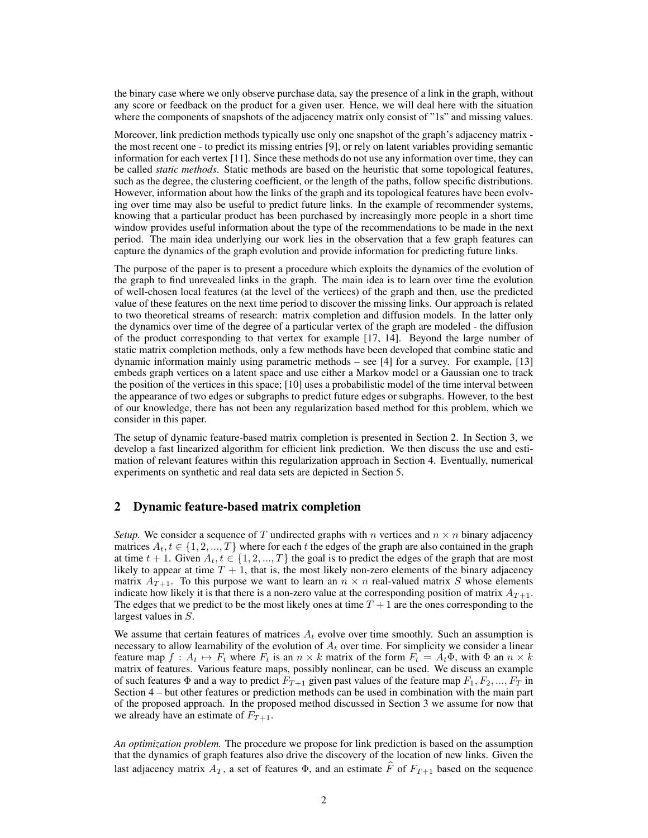the binary case where we only observe purchase data, say the presence of a link in the graph, without any score or feedback on the product for a given user. Hence, we will deal here with the situation where the components of snapshots of the adjacency matrix only consist of "1s" and missing values.

Moreover, link prediction methods typically use only one snapshot of the graph's adjacency matrix the most recent one - to predict its missing entries [9], or rely on latent variables providing semantic information for each vertex [11]. Since these methods do not use any information over time, they can be called *static methods*. Static methods are based on the heuristic that some topological features, such as the degree, the clustering coefficient, or the length of the paths, follow specific distributions. However, information about how the links of the graph and its topological features have been evolving over time may also be useful to predict future links. In the example of recommender systems, knowing that a particular product has been purchased by increasingly more people in a short time window provides useful information about the type of the recommendations to be made in the next period. The main idea underlying our work lies in the observation that a few graph features can capture the dynamics of the graph evolution and provide information for predicting future links.

The purpose of the paper is to present a procedure which exploits the dynamics of the evolution of the graph to find unrevealed links in the graph. The main idea is to learn over time the evolution of well-chosen local features (at the level of the vertices) of the graph and then, use the predicted value of these features on the next time period to discover the missing links. Our approach is related to two theoretical streams of research: matrix completion and diffusion models. In the latter only the dynamics over time of the degree of a particular vertex of the graph are modeled - the diffusion of the product corresponding to that vertex for example [17, 14]. Beyond the large number of static matrix completion methods, only a few methods have been developed that combine static and dynamic information mainly using parametric methods – see [4] for a survey. For example, [13] embeds graph vertices on a latent space and use either a Markov model or a Gaussian one to track the position of the vertices in this space; [10] uses a probabilistic model of the time interval between the appearance of two edges or subgraphs to predict future edges or subgraphs. However, to the best of our knowledge, there has not been any regularization based method for this problem, which we consider in this paper.

The setup of dynamic feature-based matrix completion is presented in Section 2. In Section 3, we develop a fast linearized algorithm for efficient link prediction. We then discuss the use and estimation of relevant features within this regularization approach in Section 4. Eventually, numerical experiments on synthetic and real data sets are depicted in Section 5.

### 2 Dynamic feature-based matrix completion

*Setup.* We consider a sequence of T undirected graphs with n vertices and  $n \times n$  binary adjacency matrices  $A_t, t \in \{1, 2, ..., T\}$  where for each t the edges of the graph are also contained in the graph at time  $t + 1$ . Given  $A_t, t \in \{1, 2, ..., T\}$  the goal is to predict the edges of the graph that are most likely to appear at time  $T + 1$ , that is, the most likely non-zero elements of the binary adjacency matrix  $A_{T+1}$ . To this purpose we want to learn an  $n \times n$  real-valued matrix S whose elements indicate how likely it is that there is a non-zero value at the corresponding position of matrix  $A_{T+1}$ . The edges that we predict to be the most likely ones at time  $T + 1$  are the ones corresponding to the largest values in S.

We assume that certain features of matrices  $A_t$  evolve over time smoothly. Such an assumption is necessary to allow learnability of the evolution of  $A_t$  over time. For simplicity we consider a linear feature map  $f : A_t \mapsto F_t$  where  $F_t$  is an  $n \times k$  matrix of the form  $F_t = A_t \Phi$ , with  $\Phi$  an  $n \times k$ matrix of features. Various feature maps, possibly nonlinear, can be used. We discuss an example of such features  $\Phi$  and a way to predict  $F_{T+1}$  given past values of the feature map  $F_1, F_2, ..., F_T$  in Section 4 – but other features or prediction methods can be used in combination with the main part of the proposed approach. In the proposed method discussed in Section 3 we assume for now that we already have an estimate of  $F_{T+1}$ .

*An optimization problem.* The procedure we propose for link prediction is based on the assumption that the dynamics of graph features also drive the discovery of the location of new links. Given the last adjacency matrix  $A_T$ , a set of features  $\Phi$ , and an estimate  $\hat{F}$  of  $F_{T+1}$  based on the sequence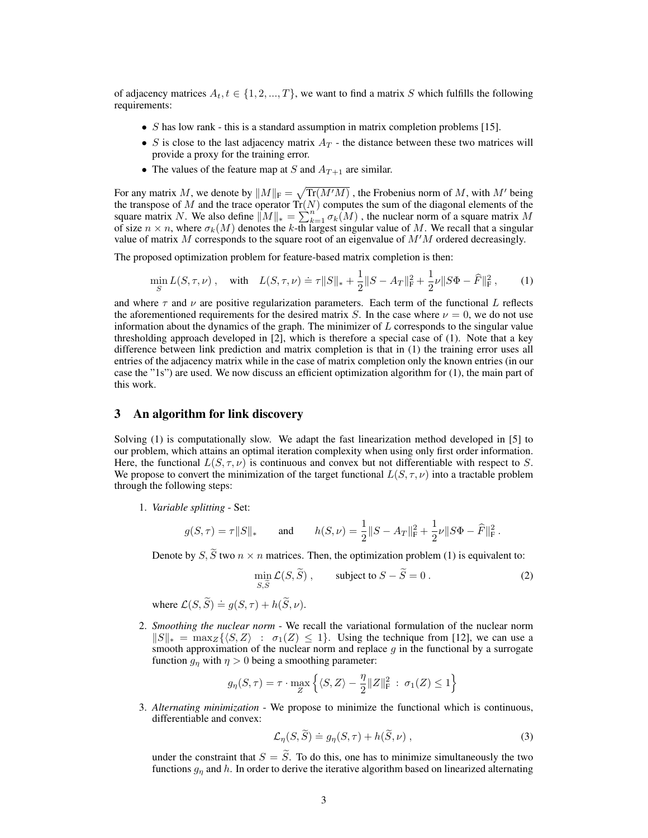of adjacency matrices  $A_t, t \in \{1, 2, ..., T\}$ , we want to find a matrix S which fulfills the following requirements:

- $S$  has low rank this is a standard assumption in matrix completion problems [15].
- S is close to the last adjacency matrix  $A_T$  the distance between these two matrices will provide a proxy for the training error.
- The values of the feature map at S and  $A_{T+1}$  are similar.

For any matrix M, we denote by  $||M||_{\text{F}} = \sqrt{\text{Tr}(M'M)}$  , the Frobenius norm of M, with  $M'$  being the transpose of M and the trace operator  $\text{Tr}(N)$  computes the sum of the diagonal elements of the square matrix N. We also define  $||M||_* = \sum_{k=1}^{n} \sigma_k(M)$ , the nuclear norm of a square matrix M of size  $n \times n$ , where  $\sigma_k(M)$  denotes the k-th largest singular value of M. We recall that a singular value of matrix M corresponds to the square root of an eigenvalue of  $M'M$  ordered decreasingly.

The proposed optimization problem for feature-based matrix completion is then:

$$
\min_{S} L(S, \tau, \nu) , \quad \text{with} \quad L(S, \tau, \nu) \doteq \tau ||S||_{*} + \frac{1}{2} ||S - A_{T}||_{\mathrm{F}}^{2} + \frac{1}{2} \nu ||S\Phi - \widehat{F}||_{\mathrm{F}}^{2} , \tag{1}
$$

and where  $\tau$  and  $\nu$  are positive regularization parameters. Each term of the functional L reflects the aforementioned requirements for the desired matrix S. In the case where  $\nu = 0$ , we do not use information about the dynamics of the graph. The minimizer of  $L$  corresponds to the singular value thresholding approach developed in [2], which is therefore a special case of (1). Note that a key difference between link prediction and matrix completion is that in (1) the training error uses all entries of the adjacency matrix while in the case of matrix completion only the known entries (in our case the "1s") are used. We now discuss an efficient optimization algorithm for (1), the main part of this work.

## 3 An algorithm for link discovery

Solving (1) is computationally slow. We adapt the fast linearization method developed in [5] to our problem, which attains an optimal iteration complexity when using only first order information. Here, the functional  $L(S, \tau, \nu)$  is continuous and convex but not differentiable with respect to S. We propose to convert the minimization of the target functional  $L(S, \tau, \nu)$  into a tractable problem through the following steps:

1. *Variable splitting* - Set:

$$
g(S,\tau) = \tau ||S||_*
$$
 and  $h(S,\nu) = \frac{1}{2} ||S - A_T||_F^2 + \frac{1}{2}\nu ||S\Phi - \widehat{F}||_F^2$ .

Denote by  $S$ ,  $\widetilde{S}$  two  $n \times n$  matrices. Then, the optimization problem (1) is equivalent to:

$$
\min_{S,\widetilde{S}} \mathcal{L}(S,\widetilde{S}), \qquad \text{subject to } S - \widetilde{S} = 0. \tag{2}
$$

where  $\mathcal{L}(S, \widetilde{S}) \doteq g(S, \tau) + h(\widetilde{S}, \nu)$ .

2. *Smoothing the nuclear norm* - We recall the variational formulation of the nuclear norm  $||S||_* = \max_Z {\langle S, Z \rangle : \sigma_1(Z) \leq 1}.$  Using the technique from [12], we can use a smooth approximation of the nuclear norm and replace  $g$  in the functional by a surrogate function  $g_{\eta}$  with  $\eta > 0$  being a smoothing parameter:

$$
g_{\eta}(S,\tau)=\tau\cdot \max_Z \left\{\langle S,Z\rangle -\frac{\eta}{2}\|Z\|_{\rm F}^2\,:\,\sigma_1(Z)\le 1\right\}
$$

3. *Alternating minimization* - We propose to minimize the functional which is continuous, differentiable and convex:

$$
\mathcal{L}_{\eta}(S,\widetilde{S}) \doteq g_{\eta}(S,\tau) + h(\widetilde{S},\nu) , \qquad (3)
$$

under the constraint that  $S = \tilde{S}$ . To do this, one has to minimize simultaneously the two functions  $g_n$  and h. In order to derive the iterative algorithm based on linearized alternating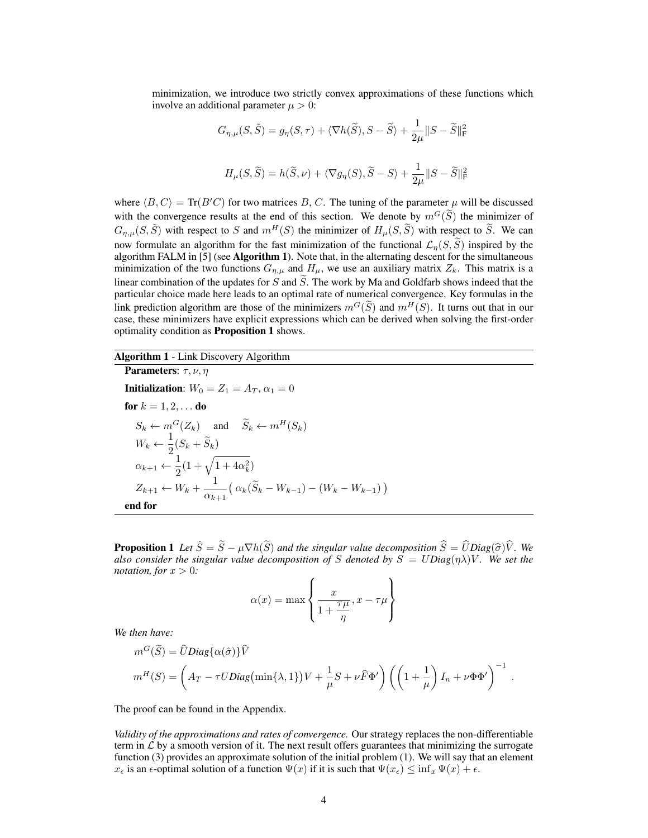minimization, we introduce two strictly convex approximations of these functions which involve an additional parameter  $\mu > 0$ :

$$
G_{\eta,\mu}(S,\tilde{S}) = g_{\eta}(S,\tau) + \langle \nabla h(\tilde{S}), S - \tilde{S} \rangle + \frac{1}{2\mu} ||S - \tilde{S}||_{\text{F}}^2
$$
  

$$
H_{\mu}(S,\tilde{S}) = h(\tilde{S},\nu) + \langle \nabla g_{\eta}(S), \tilde{S} - S \rangle + \frac{1}{2\mu} ||S - \tilde{S}||_{\text{F}}^2
$$

where  $\langle B, C \rangle = \text{Tr}(B'C)$  for two matrices B, C. The tuning of the parameter  $\mu$  will be discussed with the convergence results at the end of this section. We denote by  $m^G(\tilde{S})$  the minimizer of  $G_{n,\mu}(S,\tilde{S})$  with respect to S and  $m^H(S)$  the minimizer of  $H_\mu(S,\tilde{S})$  with respect to  $\tilde{S}$ . We can now formulate an algorithm for the fast minimization of the functional  $\mathcal{L}_n(S, \tilde{S})$  inspired by the algorithm FALM in [5] (see Algorithm 1). Note that, in the alternating descent for the simultaneous minimization of the two functions  $G_{\eta,\mu}$  and  $H_{\mu}$ , we use an auxiliary matrix  $Z_k$ . This matrix is a linear combination of the updates for S and  $\tilde{S}$ . The work by Ma and Goldfarb shows indeed that the particular choice made here leads to an optimal rate of numerical convergence. Key formulas in the link prediction algorithm are those of the minimizers  $m<sup>G</sup>(\tilde{S})$  and  $m<sup>H</sup>(S)$ . It turns out that in our case, these minimizers have explicit expressions which can be derived when solving the first-order optimality condition as Proposition 1 shows.

## Algorithm 1 - Link Discovery Algorithm

**Parameters:**  $\tau$ ,  $\nu$ ,  $\eta$ **Initialization:**  $W_0 = Z_1 = A_T, \alpha_1 = 0$ for  $k = 1, 2, ...$  do  $S_k \leftarrow m^G(Z_k)$  and  $\widetilde{S}_k \leftarrow m^H(S_k)$  $W_k \leftarrow \frac{1}{2}$  $\frac{1}{2}(S_k + S_k)$  $\alpha_{k+1} \leftarrow \frac{1}{2}$  $\frac{1}{2}(1+\sqrt{1+4\alpha_k^2})$  $Z_{k+1} \leftarrow V_k + \frac{1}{\cdot}$  $\frac{1}{\alpha_{k+1}}(\alpha_k(\tilde{S}_k - W_{k-1}) - (W_k - W_{k-1}))$ end for

**Proposition 1** Let  $\hat{S} = \tilde{S} - \mu \nabla h(\tilde{S})$  and the singular value decomposition  $\hat{S} = \hat{U}Diag(\hat{\sigma})\hat{V}$ . We *also consider the singular value decomposition of* S *denoted by*  $\overline{S} = UDiag(\eta\lambda)V$ *. We set the notation, for*  $x > 0$ *:* 

$$
\alpha(x) = \max\left\{\frac{x}{1 + \frac{\tau \mu}{\eta}}, x - \tau \mu\right\}
$$

*We then have:*

$$
m^G(\widetilde{S}) = \widehat{U}Diag\{\alpha(\hat{\sigma})\}\widehat{V}
$$
  

$$
m^H(S) = \left(A_T - \tau UDiag\left(\min\{\lambda, 1\}\right)V + \frac{1}{\mu}S + \nu\widehat{F}\Phi'\right)\left(\left(1 + \frac{1}{\mu}\right)I_n + \nu\Phi\Phi'\right)^{-1}.
$$

The proof can be found in the Appendix.

*Validity of the approximations and rates of convergence.* Our strategy replaces the non-differentiable term in  $\mathcal L$  by a smooth version of it. The next result offers guarantees that minimizing the surrogate function (3) provides an approximate solution of the initial problem (1). We will say that an element  $x_{\epsilon}$  is an  $\epsilon$ -optimal solution of a function  $\Psi(x)$  if it is such that  $\Psi(x_{\epsilon}) \leq \inf_{x} \Psi(x) + \epsilon$ .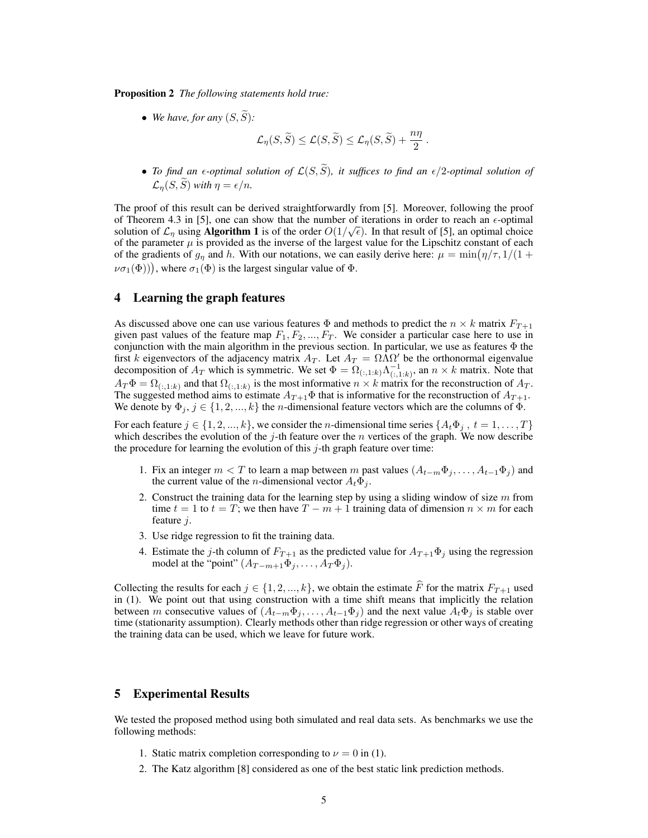Proposition 2 *The following statements hold true:*

• We have, for any  $(S, \widetilde{S})$ :

$$
\mathcal{L}_{\eta}(S,\widetilde{S}) \leq \mathcal{L}(S,\widetilde{S}) \leq \mathcal{L}_{\eta}(S,\widetilde{S}) + \frac{n\eta}{2}.
$$

• *To find an*  $\epsilon$ *-optimal solution of*  $\mathcal{L}(S, \widetilde{S})$ *, it suffices to find an*  $\epsilon/2$ -optimal solution of  $\mathcal{L}_{\eta}(S, \widetilde{S})$  *with*  $\eta = \epsilon/n$ *.* 

The proof of this result can be derived straightforwardly from [5]. Moreover, following the proof of Theorem 4.3 in [5], one can show that the number of iterations in order to reach an  $\epsilon$ -optimal solution of  $\mathcal{L}_{\eta}$  using **Algorithm 1** is of the order  $O(1/\sqrt{\epsilon})$ . In that result of [5], an optimal choice of the parameter  $\mu$  is provided as the inverse of the largest value for the Lipschitz constant of each of the gradients of  $g_{\eta}$  and h. With our notations, we can easily derive here:  $\mu = \min(\eta/\tau, 1/(1+\tau))$  $\nu\sigma_1(\Phi)$ ), where  $\sigma_1(\Phi)$  is the largest singular value of  $\Phi$ .

## 4 Learning the graph features

As discussed above one can use various features  $\Phi$  and methods to predict the  $n \times k$  matrix  $F_{T+1}$ given past values of the feature map  $F_1, F_2, ..., F_T$ . We consider a particular case here to use in conjunction with the main algorithm in the previous section. In particular, we use as features  $\Phi$  the first k eigenvectors of the adjacency matrix  $A_T$ . Let  $A_T = \Omega \overline{\Lambda} \Omega'$  be the orthonormal eigenvalue decomposition of  $A_T$  which is symmetric. We set  $\Phi = \Omega_{(:,1:k)} \Lambda_{(:,1:k)}^{-1}$ , an  $n \times k$  matrix. Note that  $A_T \Phi = \Omega_{(:,1:k)}$  and that  $\Omega_{(:,1:k)}$  is the most informative  $n \times k$  matrix for the reconstruction of  $A_T$ . The suggested method aims to estimate  $A_{T+1}\Phi$  that is informative for the reconstruction of  $A_{T+1}$ . We denote by  $\Phi_j$ ,  $j \in \{1, 2, ..., k\}$  the *n*-dimensional feature vectors which are the columns of  $\Phi$ .

For each feature  $j \in \{1, 2, ..., k\}$ , we consider the *n*-dimensional time series  $\{A_t \Phi_j, t = 1, ..., T\}$ which describes the evolution of the j-th feature over the n vertices of the graph. We now describe the procedure for learning the evolution of this  $j$ -th graph feature over time:

- 1. Fix an integer  $m < T$  to learn a map between m past values  $(A_{t-m}\Phi_i, \ldots, A_{t-1}\Phi_i)$  and the current value of the *n*-dimensional vector  $A_t \Phi_i$ .
- 2. Construct the training data for the learning step by using a sliding window of size  $m$  from time  $t = 1$  to  $t = T$ ; we then have  $T - m + 1$  training data of dimension  $n \times m$  for each feature j.
- 3. Use ridge regression to fit the training data.
- 4. Estimate the j-th column of  $F_{T+1}$  as the predicted value for  $A_{T+1}\Phi_j$  using the regression model at the "point"  $(A_{T-m+1}\Phi_j,\ldots,A_T\Phi_j)$ .

Collecting the results for each  $j \in \{1, 2, ..., k\}$ , we obtain the estimate  $\widehat{F}$  for the matrix  $F_{T+1}$  used in (1). We point out that using construction with a time shift means that implicitly the relation between m consecutive values of  $(A_{t-m}\Phi_j,\ldots,A_{t-1}\Phi_j)$  and the next value  $A_t\Phi_j$  is stable over time (stationarity assumption). Clearly methods other than ridge regression or other ways of creating the training data can be used, which we leave for future work.

## 5 Experimental Results

We tested the proposed method using both simulated and real data sets. As benchmarks we use the following methods:

- 1. Static matrix completion corresponding to  $\nu = 0$  in (1).
- 2. The Katz algorithm [8] considered as one of the best static link prediction methods.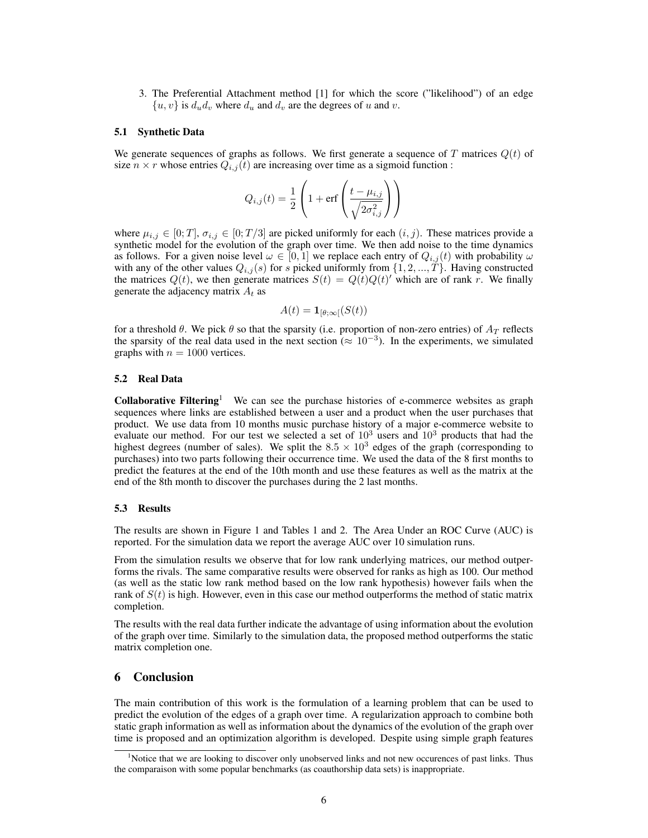3. The Preferential Attachment method [1] for which the score ("likelihood") of an edge  $\{u, v\}$  is  $d_u d_v$  where  $d_u$  and  $d_v$  are the degrees of u and v.

#### 5.1 Synthetic Data

We generate sequences of graphs as follows. We first generate a sequence of T matrices  $Q(t)$  of size  $n \times r$  whose entries  $Q_{i,j}(t)$  are increasing over time as a sigmoid function :

$$
Q_{i,j}(t) = \frac{1}{2}\left(1 + \text{erf}\left(\frac{t - \mu_{i,j}}{\sqrt{2\sigma_{i,j}^2}}\right)\right)
$$

where  $\mu_{i,j} \in [0;T], \sigma_{i,j} \in [0;T/3]$  are picked uniformly for each  $(i, j)$ . These matrices provide a synthetic model for the evolution of the graph over time. We then add noise to the time dynamics as follows. For a given noise level  $\omega \in [0,1]$  we replace each entry of  $Q_{i,j}(t)$  with probability  $\omega$ with any of the other values  $Q_{i,j}(s)$  for s picked uniformly from  $\{1, 2, ..., T\}$ . Having constructed the matrices  $Q(t)$ , we then generate matrices  $S(t) = Q(t)Q(t)$  which are of rank r. We finally generate the adjacency matrix  $A_t$  as

$$
A(t) = \mathbf{1}_{[\theta; \infty[}(S(t))]
$$

for a threshold  $\theta$ . We pick  $\theta$  so that the sparsity (i.e. proportion of non-zero entries) of  $A_T$  reflects the sparsity of the real data used in the next section  $(\approx 10^{-3})$ . In the experiments, we simulated graphs with  $n = 1000$  vertices.

#### 5.2 Real Data

**Collaborative Filtering** We can see the purchase histories of e-commerce websites as graph sequences where links are established between a user and a product when the user purchases that product. We use data from 10 months music purchase history of a major e-commerce website to evaluate our method. For our test we selected a set of  $10^3$  users and  $10^3$  products that had the highest degrees (number of sales). We split the  $8.5 \times 10^3$  edges of the graph (corresponding to purchases) into two parts following their occurrence time. We used the data of the 8 first months to predict the features at the end of the 10th month and use these features as well as the matrix at the end of the 8th month to discover the purchases during the 2 last months.

#### 5.3 Results

The results are shown in Figure 1 and Tables 1 and 2. The Area Under an ROC Curve (AUC) is reported. For the simulation data we report the average AUC over 10 simulation runs.

From the simulation results we observe that for low rank underlying matrices, our method outperforms the rivals. The same comparative results were observed for ranks as high as 100. Our method (as well as the static low rank method based on the low rank hypothesis) however fails when the rank of  $S(t)$  is high. However, even in this case our method outperforms the method of static matrix completion.

The results with the real data further indicate the advantage of using information about the evolution of the graph over time. Similarly to the simulation data, the proposed method outperforms the static matrix completion one.

## 6 Conclusion

The main contribution of this work is the formulation of a learning problem that can be used to predict the evolution of the edges of a graph over time. A regularization approach to combine both static graph information as well as information about the dynamics of the evolution of the graph over time is proposed and an optimization algorithm is developed. Despite using simple graph features

<sup>&</sup>lt;sup>1</sup>Notice that we are looking to discover only unobserved links and not new occurences of past links. Thus the comparaison with some popular benchmarks (as coauthorship data sets) is inappropriate.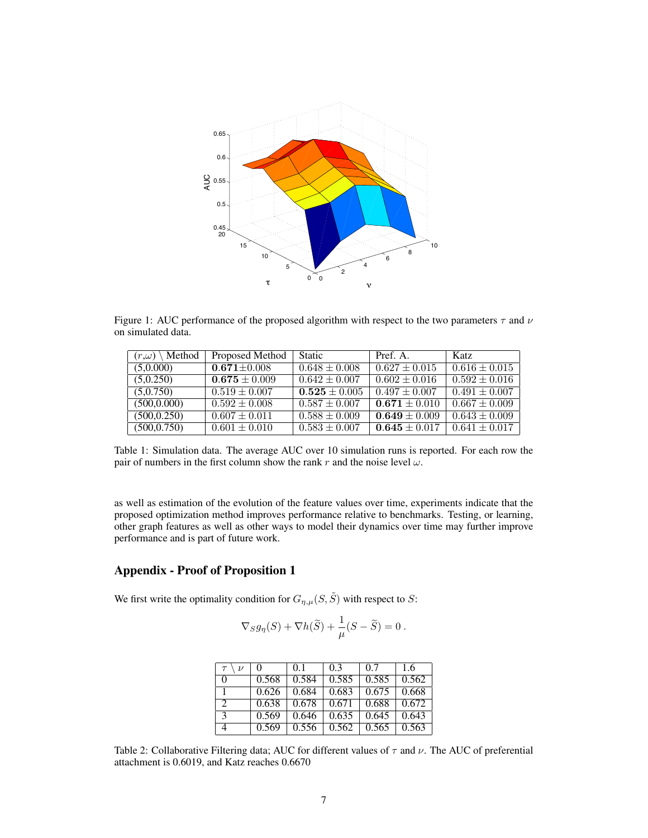

Figure 1: AUC performance of the proposed algorithm with respect to the two parameters  $\tau$  and  $\nu$ on simulated data.

| Method<br>$(r,\omega)$ | Proposed Method   | <b>Static</b>     | Pref. A.          | Katz                     |
|------------------------|-------------------|-------------------|-------------------|--------------------------|
| (5,0.000)              | $0.671 \pm 0.008$ | $0.648 \pm 0.008$ | $0.627 \pm 0.015$ | $0.616 \pm 0.015$        |
| (5,0.250)              | $0.675 \pm 0.009$ | $0.642 \pm 0.007$ | $0.602 \pm 0.016$ | $\sqrt{0.592} \pm 0.016$ |
| (5,0.750)              | $0.519 \pm 0.007$ | $0.525 \pm 0.005$ | $0.497 \pm 0.007$ | $0.491 \pm 0.007$        |
| (500, 0.000)           | $0.592 \pm 0.008$ | $0.587 \pm 0.007$ | $0.671 \pm 0.010$ | $\sqrt{0.667 \pm 0.009}$ |
| (500, 0.250)           | $0.607 \pm 0.011$ | $0.588 \pm 0.009$ | $0.649 \pm 0.009$ | $0.643 \pm 0.009$        |
| (500, 0.750)           | $0.601 \pm 0.010$ | $0.583 \pm 0.007$ | $0.645 \pm 0.017$ | $0.641 \pm 0.017$        |

Table 1: Simulation data. The average AUC over 10 simulation runs is reported. For each row the pair of numbers in the first column show the rank r and the noise level  $\omega$ .

as well as estimation of the evolution of the feature values over time, experiments indicate that the proposed optimization method improves performance relative to benchmarks. Testing, or learning, other graph features as well as other ways to model their dynamics over time may further improve performance and is part of future work.

# Appendix - Proof of Proposition 1

We first write the optimality condition for  $G_{n,\mu}(S,\tilde{S})$  with respect to S:

$$
\nabla_S g_\eta(S) + \nabla h(\widetilde S) + \frac{1}{\mu}(S - \widetilde S) = 0 \; .
$$

| $\tau$<br>$\nu$ | $\theta$ | 0.1   | 0.3   | 0.7   | 1.6   |
|-----------------|----------|-------|-------|-------|-------|
| $\Omega$        | 0.568    | 0.584 | 0.585 | 0.585 | 0.562 |
|                 | 0.626    | 0.684 | 0.683 | 0.675 | 0.668 |
| $\gamma$        | 0.638    | 0.678 | 0.671 | 0.688 | 0.672 |
| $\mathcal{R}$   | 0.569    | 0.646 | 0.635 | 0.645 | 0.643 |
|                 | 0.569    | 0.556 | 0.562 | 0.565 | 0.563 |

Table 2: Collaborative Filtering data; AUC for different values of  $\tau$  and  $\nu$ . The AUC of preferential attachment is 0.6019, and Katz reaches 0.6670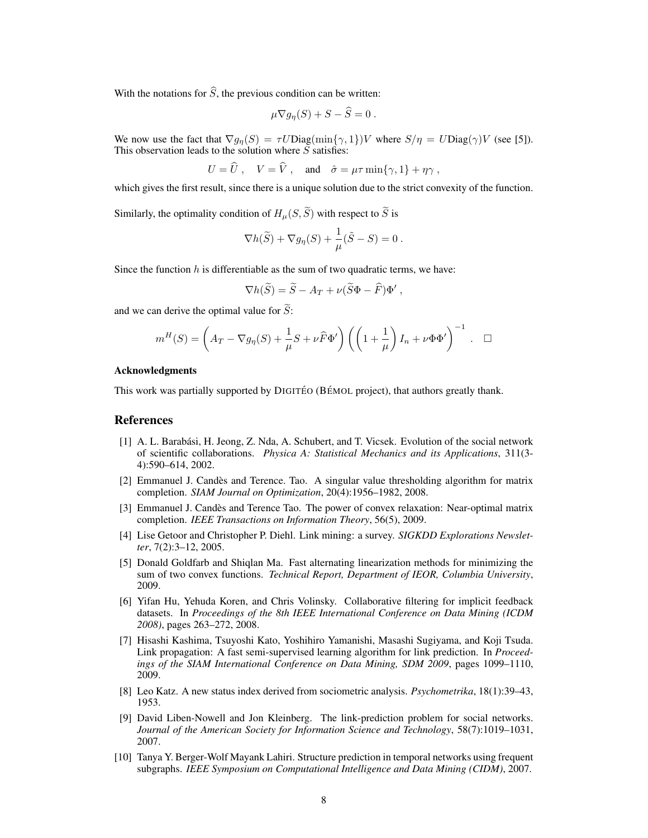With the notations for  $\hat{S}$ , the previous condition can be written:

$$
\mu \nabla g_{\eta}(S) + S - S = 0.
$$

We now use the fact that  $\nabla g_{\eta}(S) = \tau U \text{Diag}(\min\{\gamma, 1\})V$  where  $S/\eta = U \text{Diag}(\gamma)V$  (see [5]). This observation leads to the solution where  $S$  satisfies:

$$
U = \hat{U}
$$
,  $V = \hat{V}$ , and  $\hat{\sigma} = \mu \tau \min{\lbrace \gamma, 1 \rbrace} + \eta \gamma$ ,

which gives the first result, since there is a unique solution due to the strict convexity of the function.

Similarly, the optimality condition of  $H_u(S, \tilde{S})$  with respect to  $\tilde{S}$  is

$$
\nabla h(\widetilde{S}) + \nabla g_{\eta}(S) + \frac{1}{\mu}(\widetilde{S} - S) = 0.
$$

Since the function h is differentiable as the sum of two quadratic terms, we have:

$$
\nabla h(\widetilde{S}) = \widetilde{S} - A_T + \nu(\widetilde{S}\Phi - \widehat{F})\Phi',
$$

and we can derive the optimal value for  $S$ :

$$
m^H(S) = \left(A_T - \nabla g_\eta(S) + \frac{1}{\mu}S + \nu \widehat{F} \Phi'\right) \left(\left(1 + \frac{1}{\mu}\right)I_n + \nu \Phi \Phi'\right)^{-1} . \quad \Box
$$

#### Acknowledgments

This work was partially supported by DIGITÉO (BÉMOL project), that authors greatly thank.

#### References

- [1] A. L. Barabási, H. Jeong, Z. Nda, A. Schubert, and T. Vicsek. Evolution of the social network of scientific collaborations. *Physica A: Statistical Mechanics and its Applications*, 311(3- 4):590–614, 2002.
- [2] Emmanuel J. Candes and Terence. Tao. A singular value thresholding algorithm for matrix ` completion. *SIAM Journal on Optimization*, 20(4):1956–1982, 2008.
- [3] Emmanuel J. Candes and Terence Tao. The power of convex relaxation: Near-optimal matrix ` completion. *IEEE Transactions on Information Theory*, 56(5), 2009.
- [4] Lise Getoor and Christopher P. Diehl. Link mining: a survey. *SIGKDD Explorations Newsletter*, 7(2):3–12, 2005.
- [5] Donald Goldfarb and Shiqlan Ma. Fast alternating linearization methods for minimizing the sum of two convex functions. *Technical Report, Department of IEOR, Columbia University*, 2009.
- [6] Yifan Hu, Yehuda Koren, and Chris Volinsky. Collaborative filtering for implicit feedback datasets. In *Proceedings of the 8th IEEE International Conference on Data Mining (ICDM 2008)*, pages 263–272, 2008.
- [7] Hisashi Kashima, Tsuyoshi Kato, Yoshihiro Yamanishi, Masashi Sugiyama, and Koji Tsuda. Link propagation: A fast semi-supervised learning algorithm for link prediction. In *Proceedings of the SIAM International Conference on Data Mining, SDM 2009*, pages 1099–1110, 2009.
- [8] Leo Katz. A new status index derived from sociometric analysis. *Psychometrika*, 18(1):39–43, 1953.
- [9] David Liben-Nowell and Jon Kleinberg. The link-prediction problem for social networks. *Journal of the American Society for Information Science and Technology*, 58(7):1019–1031, 2007.
- [10] Tanya Y. Berger-Wolf Mayank Lahiri. Structure prediction in temporal networks using frequent subgraphs. *IEEE Symposium on Computational Intelligence and Data Mining (CIDM)*, 2007.